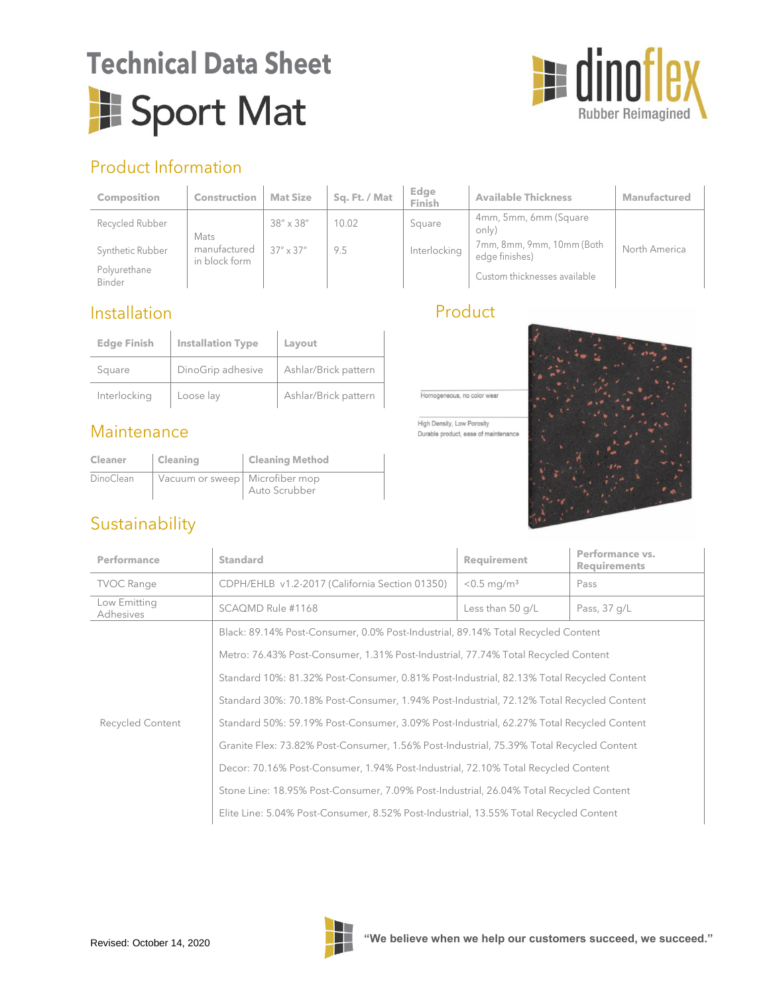# **Technical Data Sheet** Sport Mat



## Product Information

| <b>Composition</b>     | <b>Construction</b>           | <b>Mat Size</b>    | Sq. Ft. / Mat | Edge<br>Finish | <b>Available Thickness</b>                  | <b>Manufactured</b> |
|------------------------|-------------------------------|--------------------|---------------|----------------|---------------------------------------------|---------------------|
| Recycled Rubber        | Mats                          | $38'' \times 38''$ | 10.02         | Square         | 4mm, 5mm, 6mm (Square<br>only)              |                     |
| Synthetic Rubber       | manufactured<br>in block form | $37'' \times 37''$ | 9.5           | Interlocking   | 7mm, 8mm, 9mm, 10mm (Both<br>edge finishes) | North America       |
| Polvurethane<br>Binder |                               |                    |               |                | Custom thicknesses available                |                     |

### Installation

| <b>Edge Finish</b> | <b>Installation Type</b> | Layout               |  |
|--------------------|--------------------------|----------------------|--|
| Square             | DinoGrip adhesive        | Ashlar/Brick pattern |  |
| Interlocking       | Loose lay                | Ashlar/Brick pattern |  |

### **Maintenance**

| <b>Cleaner</b> | <b>Cleaning</b>                | <b>Cleaning Method</b> |
|----------------|--------------------------------|------------------------|
| DinoClean      | Vacuum or sweep Microfiber mop | Auto Scrubber          |

## Sustainability

| ( ) | <b>CULL</b> |  |  |
|-----|-------------|--|--|
|     |             |  |  |



High Density, Low Porosity Durable product, ease of maintenance



| <b>Performance</b>        | <b>Standard</b>                                                                          | <b>Requirement</b>        | Performance vs.<br><b>Requirements</b> |  |  |
|---------------------------|------------------------------------------------------------------------------------------|---------------------------|----------------------------------------|--|--|
| <b>TVOC Range</b>         | CDPH/EHLB v1.2-2017 (California Section 01350)                                           | $< 0.5$ mg/m <sup>3</sup> | Pass                                   |  |  |
| Low Emitting<br>Adhesives | SCAQMD Rule #1168                                                                        | Less than 50 g/L          | Pass, 37 g/L                           |  |  |
|                           | Black: 89.14% Post-Consumer, 0.0% Post-Industrial, 89.14% Total Recycled Content         |                           |                                        |  |  |
|                           | Metro: 76.43% Post-Consumer, 1.31% Post-Industrial, 77.74% Total Recycled Content        |                           |                                        |  |  |
| Recycled Content          | Standard 10%: 81.32% Post-Consumer, 0.81% Post-Industrial, 82.13% Total Recycled Content |                           |                                        |  |  |
|                           | Standard 30%: 70.18% Post-Consumer, 1.94% Post-Industrial, 72.12% Total Recycled Content |                           |                                        |  |  |
|                           | Standard 50%: 59.19% Post-Consumer, 3.09% Post-Industrial, 62.27% Total Recycled Content |                           |                                        |  |  |
|                           | Granite Flex: 73.82% Post-Consumer, 1.56% Post-Industrial, 75.39% Total Recycled Content |                           |                                        |  |  |
|                           | Decor: 70.16% Post-Consumer, 1.94% Post-Industrial, 72.10% Total Recycled Content        |                           |                                        |  |  |
|                           | Stone Line: 18.95% Post-Consumer, 7.09% Post-Industrial, 26.04% Total Recycled Content   |                           |                                        |  |  |
|                           | Elite Line: 5.04% Post-Consumer, 8.52% Post-Industrial, 13.55% Total Recycled Content    |                           |                                        |  |  |

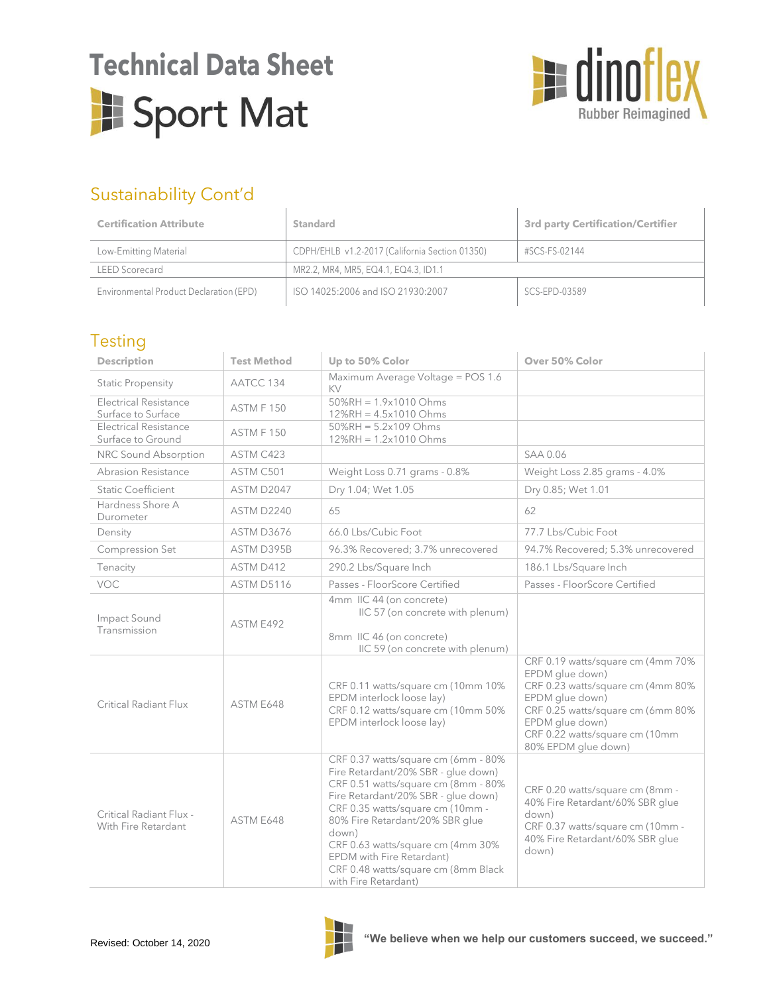## **Technical Data Sheet**Sport Mat



## Sustainability Cont'd

| <b>Certification Attribute</b>                                          | <b>Standard</b>                      | <b>3rd party Certification/Certifier</b> |
|-------------------------------------------------------------------------|--------------------------------------|------------------------------------------|
| CDPH/EHLB v1.2-2017 (California Section 01350)<br>Low-Emitting Material |                                      | #SCS-FS-02144                            |
| <b>LEED Scorecard</b>                                                   | MR2.2, MR4, MR5, EQ4.1, EQ4.3, ID1.1 |                                          |
| Environmental Product Declaration (EPD)                                 | ISO 14025:2006 and ISO 21930:2007    | SCS-EPD-03589                            |

#### **Testing**

| <b>Description</b>                                 | <b>Test Method</b> | Up to 50% Color                                                                                                                                                                                                                                                                                                                                                           | Over 50% Color                                                                                                                                                                                                                |
|----------------------------------------------------|--------------------|---------------------------------------------------------------------------------------------------------------------------------------------------------------------------------------------------------------------------------------------------------------------------------------------------------------------------------------------------------------------------|-------------------------------------------------------------------------------------------------------------------------------------------------------------------------------------------------------------------------------|
| <b>Static Propensity</b>                           | AATCC 134          | Maximum Average Voltage = POS 1.6<br>KV                                                                                                                                                                                                                                                                                                                                   |                                                                                                                                                                                                                               |
| <b>Electrical Resistance</b><br>Surface to Surface | ASTM F 150         | $50\%RH = 1.9x1010 Ohms$<br>12%RH = 4.5x1010 Ohms                                                                                                                                                                                                                                                                                                                         |                                                                                                                                                                                                                               |
| <b>Electrical Resistance</b><br>Surface to Ground  | ASTM F 150         | $50\%RH = 5.2 \times 109$ Ohms<br>12%RH = 1.2x1010 Ohms                                                                                                                                                                                                                                                                                                                   |                                                                                                                                                                                                                               |
| NRC Sound Absorption                               | ASTM C423          |                                                                                                                                                                                                                                                                                                                                                                           | SAA 0.06                                                                                                                                                                                                                      |
| Abrasion Resistance                                | ASTM C501          | Weight Loss 0.71 grams - 0.8%                                                                                                                                                                                                                                                                                                                                             | Weight Loss 2.85 grams - 4.0%                                                                                                                                                                                                 |
| <b>Static Coefficient</b>                          | ASTM D2047         | Dry 1.04; Wet 1.05                                                                                                                                                                                                                                                                                                                                                        | Dry 0.85; Wet 1.01                                                                                                                                                                                                            |
| Hardness Shore A<br>Durometer                      | ASTM D2240         | 65                                                                                                                                                                                                                                                                                                                                                                        | 62                                                                                                                                                                                                                            |
| Density                                            | <b>ASTM D3676</b>  | 66.0 Lbs/Cubic Foot                                                                                                                                                                                                                                                                                                                                                       | 77.7 Lbs/Cubic Foot                                                                                                                                                                                                           |
| Compression Set                                    | ASTM D395B         | 96.3% Recovered; 3.7% unrecovered                                                                                                                                                                                                                                                                                                                                         | 94.7% Recovered; 5.3% unrecovered                                                                                                                                                                                             |
| Tenacity                                           | ASTM D412          | 290.2 Lbs/Square Inch                                                                                                                                                                                                                                                                                                                                                     | 186.1 Lbs/Square Inch                                                                                                                                                                                                         |
| VOC                                                | <b>ASTM D5116</b>  | Passes - FloorScore Certified                                                                                                                                                                                                                                                                                                                                             | Passes - FloorScore Certified                                                                                                                                                                                                 |
| Impact Sound<br>Transmission                       | ASTM E492          | 4mm IIC 44 (on concrete)<br>IIC 57 (on concrete with plenum)<br>8mm IIC 46 (on concrete)<br>IIC 59 (on concrete with plenum)                                                                                                                                                                                                                                              |                                                                                                                                                                                                                               |
| Critical Radiant Flux                              | ASTM E648          | CRF 0.11 watts/square cm (10mm 10%<br>EPDM interlock loose lay)<br>CRF 0.12 watts/square cm (10mm 50%<br>EPDM interlock loose lay)                                                                                                                                                                                                                                        | CRF 0.19 watts/square cm (4mm 70%<br>EPDM glue down)<br>CRF 0.23 watts/square cm (4mm 80%<br>EPDM glue down)<br>CRF 0.25 watts/square cm (6mm 80%<br>EPDM glue down)<br>CRF 0.22 watts/square cm (10mm<br>80% EPDM glue down) |
| Critical Radiant Flux -<br>With Fire Retardant     | ASTM E648          | CRF 0.37 watts/square cm (6mm - 80%<br>Fire Retardant/20% SBR - glue down)<br>CRF 0.51 watts/square cm (8mm - 80%<br>Fire Retardant/20% SBR - glue down)<br>CRF 0.35 watts/square cm (10mm -<br>80% Fire Retardant/20% SBR glue<br>down)<br>CRF 0.63 watts/square cm (4mm 30%<br>EPDM with Fire Retardant)<br>CRF 0.48 watts/square cm (8mm Black<br>with Fire Retardant) | CRF 0.20 watts/square cm (8mm -<br>40% Fire Retardant/60% SBR glue<br>down)<br>CRF 0.37 watts/square cm (10mm -<br>40% Fire Retardant/60% SBR glue<br>down)                                                                   |